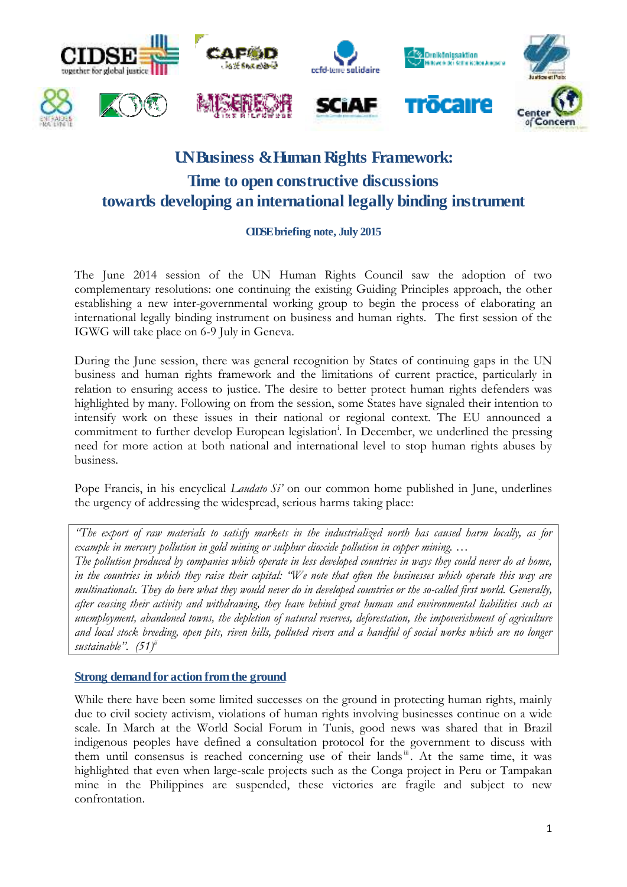

# **UN Business & Human Rights Framework: Time to open constructive discussions towards developing an international legally binding instrument**

## **CIDSE briefing note, July 2015**

The June 2014 session of the UN Human Rights Council saw the adoption of two complementary resolutions: one continuing the existing Guiding Principles approach, the other establishing a new inter-governmental working group to begin the process of elaborating an international legally binding instrument on business and human rights. The first session of the IGWG will take place on 6-9 July in Geneva.

During the June session, there was general recognition by States of continuing gaps in the UN business and human rights framework and the limitations of current practice, particularly in relation to ensuring access to justice. The desire to better protect human rights defenders was highlighted by many. Following on from the session, some States have signaled their intention to intensify work on these issues in their national or regional context. The EU announced a commitment to further develop European legislation<sup>i</sup>. In December, we underlined the pressing need for more action at both national and international level to stop human rights abuses by business.

Pope Francis, in his encyclical *Laudato Si'* on our common home published in June, underlines the urgency of addressing the widespread, serious harms taking place:

*"The export of raw materials to satisfy markets in the industrialized north has caused harm locally, as for example in mercury pollution in gold mining or sulphur dioxide pollution in copper mining. … The pollution produced by companies which operate in less developed countries in ways they could never do at home, in the countries in which they raise their capital: "We note that often the businesses which operate this way are multinationals. They do here what they would never do in developed countries or the so-called first world. Generally, after ceasing their activity and withdrawing, they leave behind great human and environmental liabilities such as unemployment, abandoned towns, the depletion of natural reserves, deforestation, the impoverishment of agriculture and local stock breeding, open pits, riven hills, polluted rivers and a handful of social works which are no longer sustainable". (51)ii*

#### **Strong demand for action from the ground**

While there have been some limited successes on the ground in protecting human rights, mainly due to civil society activism, violations of human rights involving businesses continue on a wide scale. In March at the World Social Forum in Tunis, good news was shared that in Brazil indigenous peoples have defined a consultation protocol for the government to discuss with them until consensus is reached concerning use of their lands<sup>ii</sup>. At the same time, it was highlighted that even when large-scale projects such as the Conga project in Peru or Tampakan mine in the Philippines are suspended, these victories are fragile and subject to new confrontation.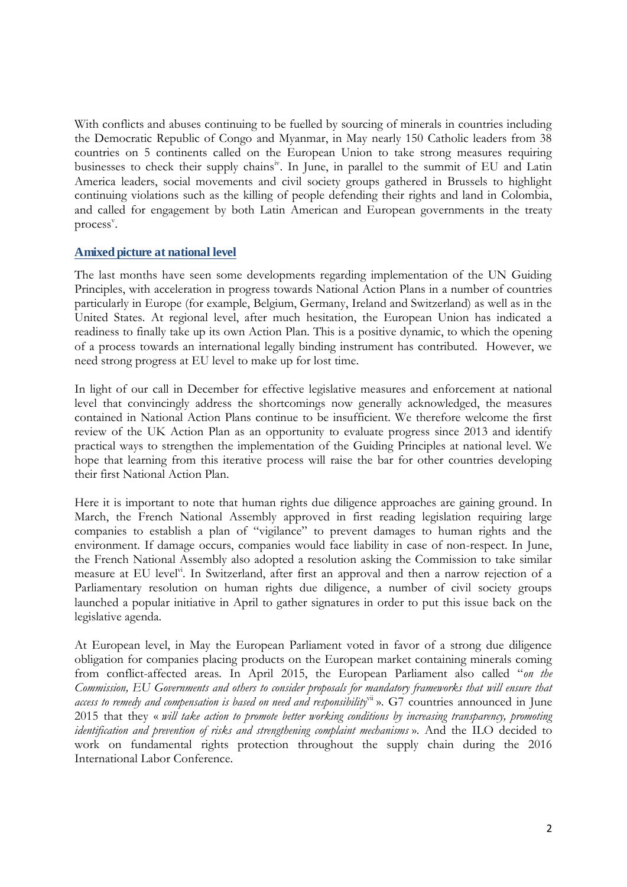With conflicts and abuses continuing to be fuelled by sourcing of minerals in countries including the Democratic Republic of Congo and Myanmar, in May nearly 150 Catholic leaders from 38 countries on 5 continents called on the European Union to take strong measures requiring businesses to check their supply chains<sup>iv</sup>. In June, in parallel to the summit of EU and Latin America leaders, social movements and civil society groups gathered in Brussels to highlight continuing violations such as the killing of people defending their rights and land in Colombia, and called for engagement by both Latin American and European governments in the treaty process<sup>v</sup>.

## **A mixed picture at national level**

The last months have seen some developments regarding implementation of the UN Guiding Principles, with acceleration in progress towards National Action Plans in a number of countries particularly in Europe (for example, Belgium, Germany, Ireland and Switzerland) as well as in the United States. At regional level, after much hesitation, the European Union has indicated a readiness to finally take up its own Action Plan. This is a positive dynamic, to which the opening of a process towards an international legally binding instrument has contributed. However, we need strong progress at EU level to make up for lost time.

In light of our call in December for effective legislative measures and enforcement at national level that convincingly address the shortcomings now generally acknowledged, the measures contained in National Action Plans continue to be insufficient. We therefore welcome the first review of the UK Action Plan as an opportunity to evaluate progress since 2013 and identify practical ways to strengthen the implementation of the Guiding Principles at national level. We hope that learning from this iterative process will raise the bar for other countries developing their first National Action Plan.

Here it is important to note that human rights due diligence approaches are gaining ground. In March, the French National Assembly approved in first reading legislation requiring large companies to establish a plan of "vigilance" to prevent damages to human rights and the environment. If damage occurs, companies would face liability in case of non-respect. In June, the French National Assembly also adopted a resolution asking the Commission to take similar measure at EU level<sup>vi</sup>. In Switzerland, after first an approval and then a narrow rejection of a Parliamentary resolution on human rights due diligence, a number of civil society groups launched a popular initiative in April to gather signatures in order to put this issue back on the legislative agenda.

At European level, in May the European Parliament voted in favor of a strong due diligence obligation for companies placing products on the European market containing minerals coming from conflict-affected areas. In April 2015, the European Parliament also called "*on the Commission, EU Governments and others to consider proposals for mandatory frameworks that will ensure that*  access to remedy and compensation is based on need and responsibility<sup>vii</sup> ». G7 countries announced in June 2015 that they « *will take action to promote better working conditions by increasing transparency, promoting identification and prevention of risks and strengthening complaint mechanisms* ». And the ILO decided to work on fundamental rights protection throughout the supply chain during the 2016 International Labor Conference.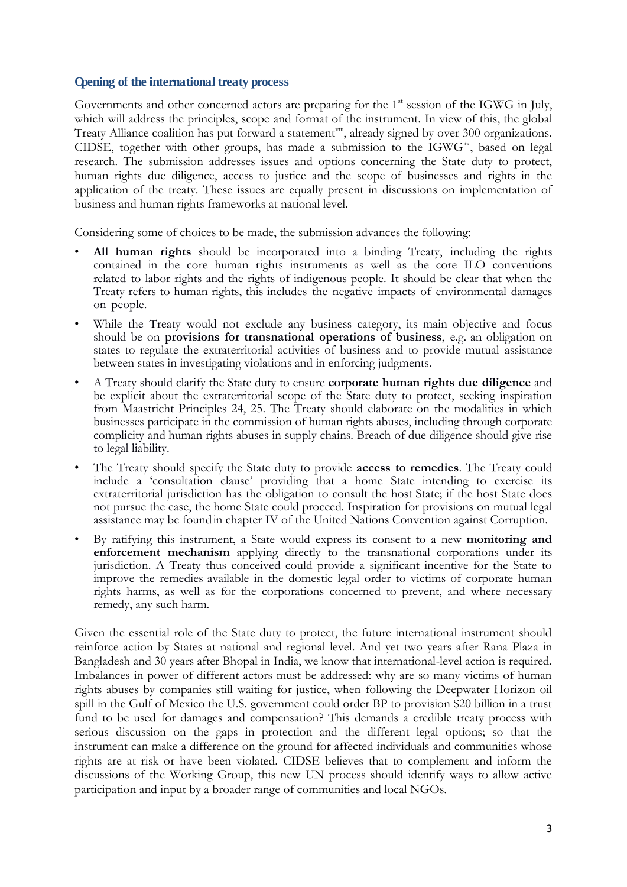#### **Opening of the international treaty process**

Governments and other concerned actors are preparing for the 1<sup>st</sup> session of the IGWG in July, which will address the principles, scope and format of the instrument. In view of this, the global Treaty Alliance coalition has put forward a statement<sup>viii</sup>, already signed by over 300 organizations. CIDSE, together with other groups, has made a submission to the IGWG<sup>ix</sup>, based on legal research. The submission addresses issues and options concerning the State duty to protect, human rights due diligence, access to justice and the scope of businesses and rights in the application of the treaty. These issues are equally present in discussions on implementation of business and human rights frameworks at national level.

Considering some of choices to be made, the submission advances the following:

- All human rights should be incorporated into a binding Treaty, including the rights contained in the core human rights instruments as well as the core ILO conventions related to labor rights and the rights of indigenous people. It should be clear that when the Treaty refers to human rights, this includes the negative impacts of environmental damages on people.
- While the Treaty would not exclude any business category, its main objective and focus should be on **provisions for transnational operations of business**, e.g. an obligation on states to regulate the extraterritorial activities of business and to provide mutual assistance between states in investigating violations and in enforcing judgments.
- A Treaty should clarify the State duty to ensure **corporate human rights due diligence** and be explicit about the extraterritorial scope of the State duty to protect, seeking inspiration from Maastricht Principles 24, 25. The Treaty should elaborate on the modalities in which businesses participate in the commission of human rights abuses, including through corporate complicity and human rights abuses in supply chains. Breach of due diligence should give rise to legal liability.
- The Treaty should specify the State duty to provide **access to remedies**. The Treaty could include a 'consultation clause' providing that a home State intending to exercise its extraterritorial jurisdiction has the obligation to consult the host State; if the host State does not pursue the case, the home State could proceed. Inspiration for provisions on mutual legal assistance may be found in chapter IV of the United Nations Convention against Corruption.
- By ratifying this instrument, a State would express its consent to a new **monitoring and enforcement mechanism** applying directly to the transnational corporations under its jurisdiction. A Treaty thus conceived could provide a significant incentive for the State to improve the remedies available in the domestic legal order to victims of corporate human rights harms, as well as for the corporations concerned to prevent, and where necessary remedy, any such harm.

Given the essential role of the State duty to protect, the future international instrument should reinforce action by States at national and regional level. And yet two years after Rana Plaza in Bangladesh and 30 years after Bhopal in India, we know that international-level action is required. Imbalances in power of different actors must be addressed: why are so many victims of human rights abuses by companies still waiting for justice, when following the Deepwater Horizon oil spill in the Gulf of Mexico the U.S. government could order BP to provision \$20 billion in a trust fund to be used for damages and compensation? This demands a credible treaty process with serious discussion on the gaps in protection and the different legal options; so that the instrument can make a difference on the ground for affected individuals and communities whose rights are at risk or have been violated. CIDSE believes that to complement and inform the discussions of the Working Group, this new UN process should identify ways to allow active participation and input by a broader range of communities and local NGOs.